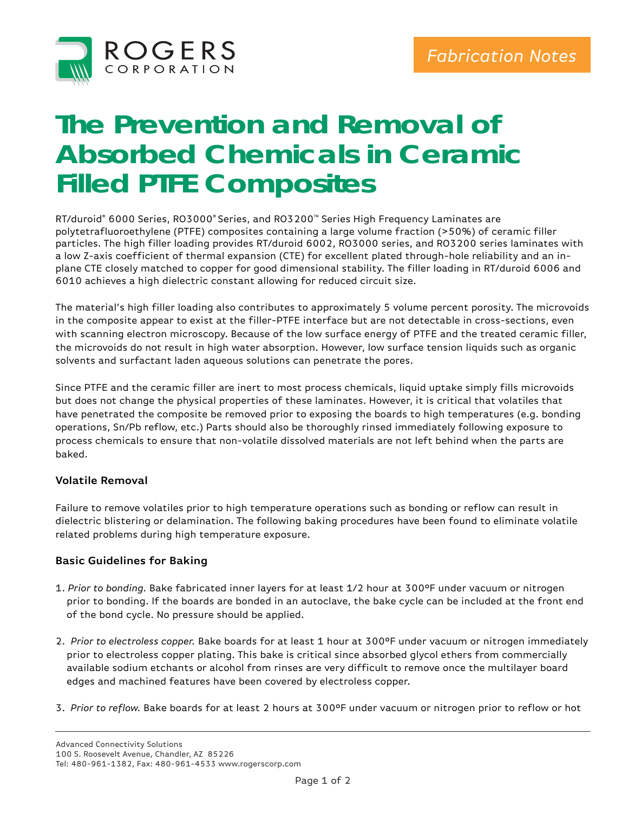

# **The Prevention and Removal of Absorbed Chemicals in Ceramic Filled PTFE Composites**

RT/duroid® 6000 Series, RO3000® Series, and RO3200™ Series High Frequency Laminates are polytetrafluoroethylene (PTFE) composites containing a large volume fraction (>50%) of ceramic filler particles. The high filler loading provides RT/duroid 6002, RO3000 series, and RO3200 series laminates with a low Z-axis coefficient of thermal expansion (CTE) for excellent plated through-hole reliability and an inplane CTE closely matched to copper for good dimensional stability. The filler loading in RT/duroid 6006 and 6010 achieves a high dielectric constant allowing for reduced circuit size.

The material's high filler loading also contributes to approximately 5 volume percent porosity. The microvoids in the composite appear to exist at the filler-PTFE interface but are not detectable in cross-sections, even with scanning electron microscopy. Because of the low surface energy of PTFE and the treated ceramic filler, the microvoids do not result in high water absorption. However, low surface tension liquids such as organic solvents and surfactant laden aqueous solutions can penetrate the pores.

Since PTFE and the ceramic filler are inert to most process chemicals, liquid uptake simply fills microvoids but does not change the physical properties of these laminates. However, it is critical that volatiles that have penetrated the composite be removed prior to exposing the boards to high temperatures (e.g. bonding operations, Sn/Pb reflow, etc.) Parts should also be thoroughly rinsed immediately following exposure to process chemicals to ensure that non-volatile dissolved materials are not left behind when the parts are baked.

#### **Volatile Removal**

Failure to remove volatiles prior to high temperature operations such as bonding or reflow can result in dielectric blistering or delamination. The following baking procedures have been found to eliminate volatile related problems during high temperature exposure.

#### **Basic Guidelines for Baking**

- 1. *Prior to bonding.* Bake fabricated inner layers for at least 1/2 hour at 300°F under vacuum or nitrogen prior to bonding. If the boards are bonded in an autoclave, the bake cycle can be included at the front end of the bond cycle. No pressure should be applied.
- 2. *Prior to electroless copper.* Bake boards for at least 1 hour at 300°F under vacuum or nitrogen immediately prior to electroless copper plating. This bake is critical since absorbed glycol ethers from commercially available sodium etchants or alcohol from rinses are very difficult to remove once the multilayer board edges and machined features have been covered by electroless copper.
- 3. *Prior to refl ow.* Bake boards for at least 2 hours at 300°F under vacuum or nitrogen prior to refl ow or hot